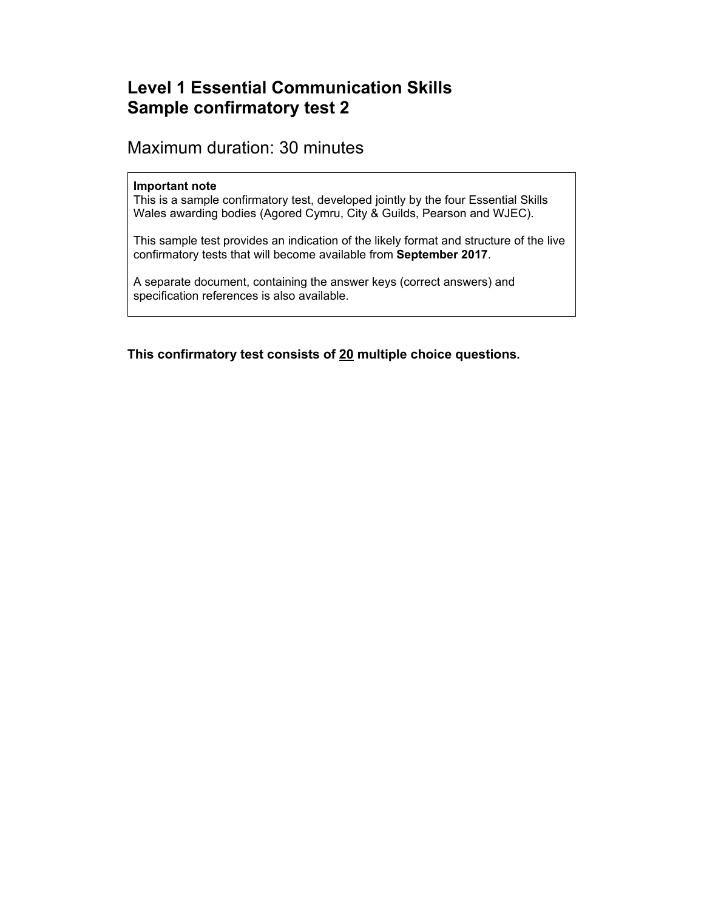# **Level 1 Essential Communication Skills Sample confirmatory test 2**

## Maximum duration: 30 minutes

#### **Important note**

This is a sample confirmatory test, developed jointly by the four Essential Skills Wales awarding bodies (Agored Cymru, City & Guilds, Pearson and WJEC).

This sample test provides an indication of the likely format and structure of the live confirmatory tests that will become available from **September 2017**.

A separate document, containing the answer keys (correct answers) and specification references is also available.

**This confirmatory test consists of 20 multiple choice questions.**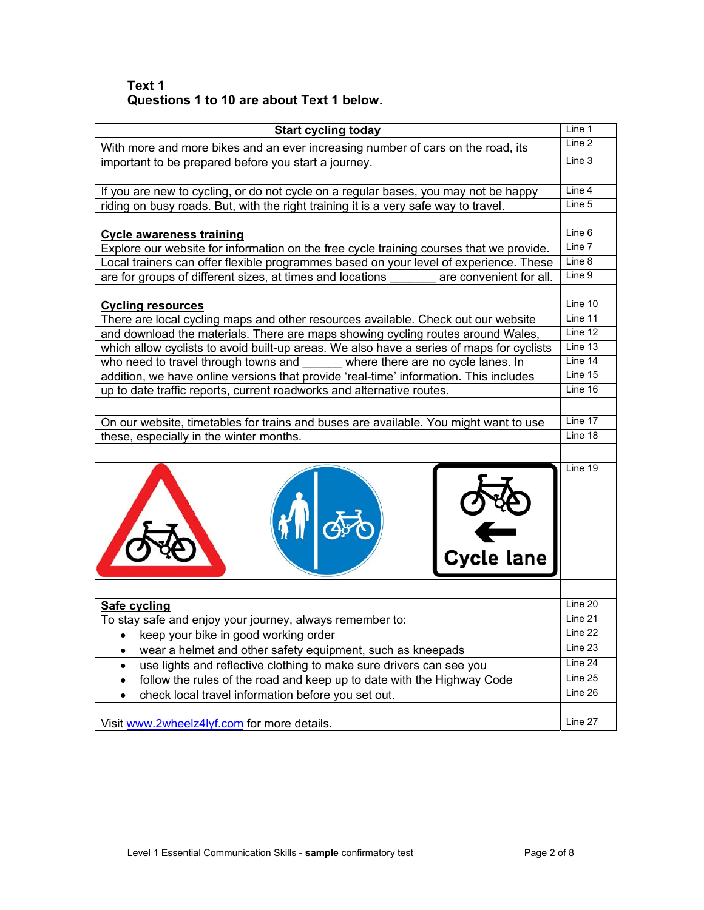### **Text 1 Questions 1 to 10 are about Text 1 below.**

| <b>Start cycling today</b>                                                                                    | Line 1  |
|---------------------------------------------------------------------------------------------------------------|---------|
| With more and more bikes and an ever increasing number of cars on the road, its                               | Line 2  |
| important to be prepared before you start a journey.                                                          | Line 3  |
|                                                                                                               |         |
| If you are new to cycling, or do not cycle on a regular bases, you may not be happy                           | Line 4  |
| riding on busy roads. But, with the right training it is a very safe way to travel.                           | Line 5  |
|                                                                                                               |         |
| <b>Cycle awareness training</b>                                                                               | Line 6  |
| Explore our website for information on the free cycle training courses that we provide.                       | Line 7  |
| Local trainers can offer flexible programmes based on your level of experience. These                         | Line 8  |
| are for groups of different sizes, at times and locations<br>are convenient for all.                          | Line 9  |
|                                                                                                               | Line 10 |
| <b>Cycling resources</b><br>There are local cycling maps and other resources available. Check out our website | Line 11 |
| and download the materials. There are maps showing cycling routes around Wales,                               | Line 12 |
| which allow cyclists to avoid built-up areas. We also have a series of maps for cyclists                      | Line 13 |
| who need to travel through towns and<br>where there are no cycle lanes. In                                    | Line 14 |
| addition, we have online versions that provide 'real-time' information. This includes                         | Line 15 |
| up to date traffic reports, current roadworks and alternative routes.                                         | Line 16 |
|                                                                                                               |         |
| On our website, timetables for trains and buses are available. You might want to use                          | Line 17 |
| these, especially in the winter months.                                                                       | Line 18 |
|                                                                                                               |         |
| Cycle lane                                                                                                    | Line 19 |
| Safe cycling                                                                                                  | Line 20 |
| To stay safe and enjoy your journey, always remember to:                                                      | Line 21 |
| keep your bike in good working order                                                                          | Line 22 |
| wear a helmet and other safety equipment, such as kneepads                                                    | Line 23 |
| use lights and reflective clothing to make sure drivers can see you<br>٠                                      | Line 24 |
| follow the rules of the road and keep up to date with the Highway Code<br>٠                                   | Line 25 |
| check local travel information before you set out.<br>٠                                                       | Line 26 |
|                                                                                                               |         |
| Visit www.2wheelz4lyf.com for more details.                                                                   | Line 27 |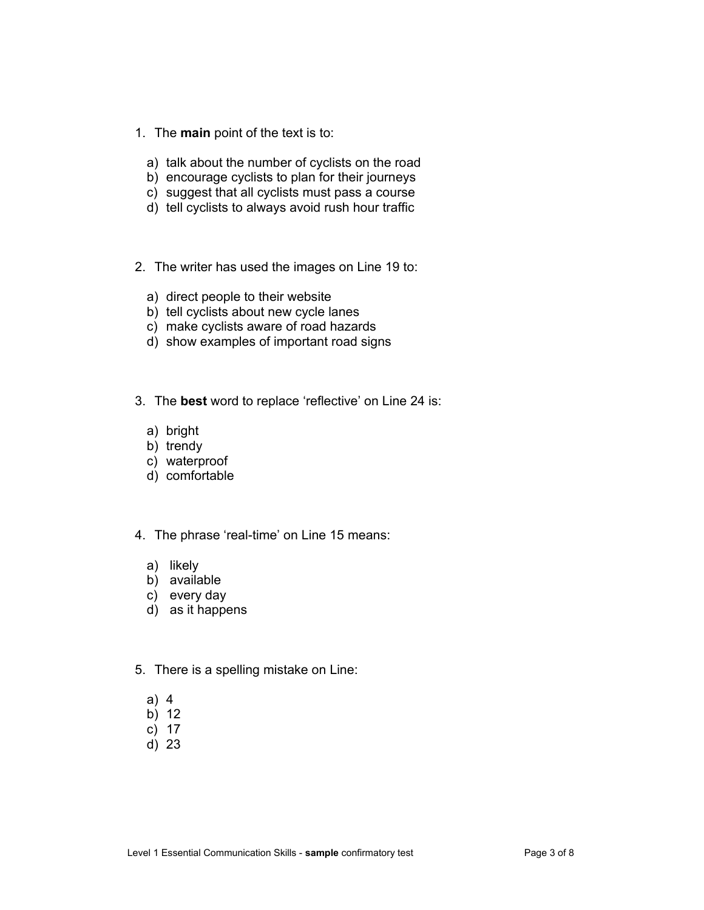- 1. The **main** point of the text is to:
	- a) talk about the number of cyclists on the road
	- b) encourage cyclists to plan for their journeys
	- c) suggest that all cyclists must pass a course
	- d) tell cyclists to always avoid rush hour traffic
- 2. The writer has used the images on Line 19 to:
	- a) direct people to their website
	- b) tell cyclists about new cycle lanes
	- c) make cyclists aware of road hazards
	- d) show examples of important road signs
- 3. The **best** word to replace 'reflective' on Line 24 is:
	- a) bright
	- b) trendy
	- c) waterproof
	- d) comfortable
- 4. The phrase 'real-time' on Line 15 means:
	- a) likely
	- b) available
	- c) every day
	- d) as it happens
- 5. There is a spelling mistake on Line:
	- a) 4
	- b) 12
	- c) 17
	- d) 23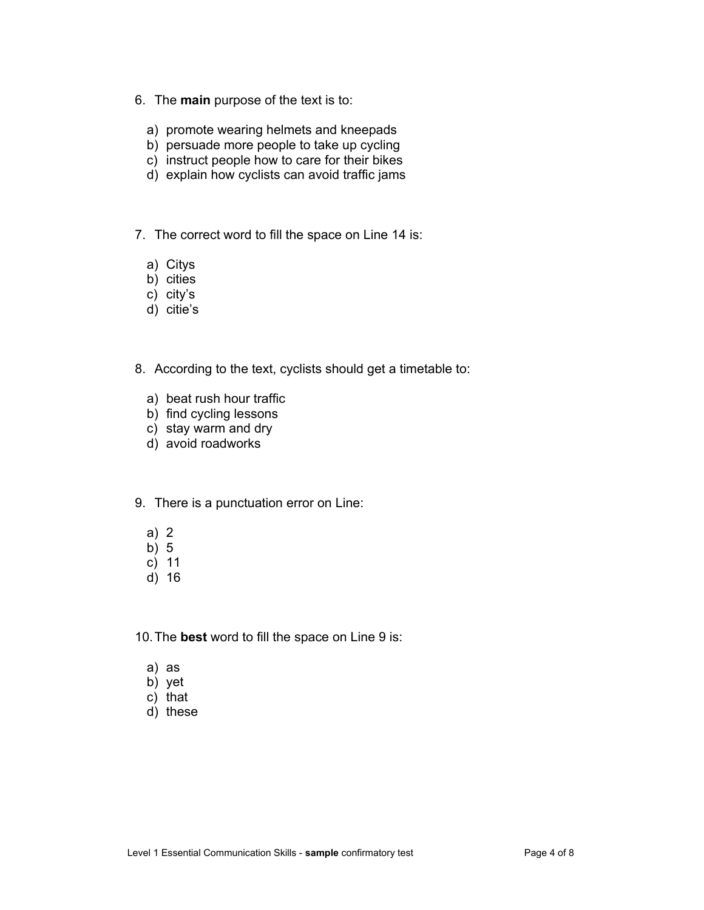- 6. The **main** purpose of the text is to:
	- a) promote wearing helmets and kneepads
	- b) persuade more people to take up cycling
	- c) instruct people how to care for their bikes
	- d) explain how cyclists can avoid traffic jams
- 7. The correct word to fill the space on Line 14 is:
	- a) Citys
	- b) cities
	- c) city's
	- d) citie's
- 8. According to the text, cyclists should get a timetable to:
	- a) beat rush hour traffic
	- b) find cycling lessons
	- c) stay warm and dry
	- d) avoid roadworks
- 9. There is a punctuation error on Line:
	- a) 2
	- b) 5
	- c) 11
	- d) 16

10. The **best** word to fill the space on Line 9 is:

- a) as
- b) yet
- c) that
- d) these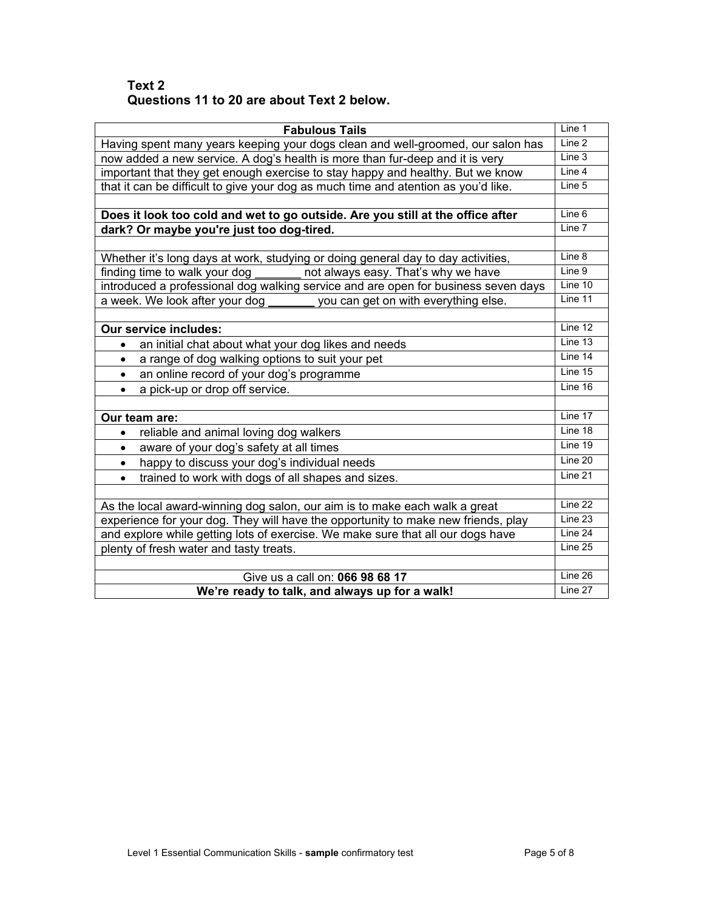### **Text 2 Questions 11 to 20 are about Text 2 below.**

| <b>Fabulous Tails</b>                                                              | Line 1  |
|------------------------------------------------------------------------------------|---------|
| Having spent many years keeping your dogs clean and well-groomed, our salon has    | Line 2  |
| now added a new service. A dog's health is more than fur-deep and it is very       | Line 3  |
| important that they get enough exercise to stay happy and healthy. But we know     | Line 4  |
| that it can be difficult to give your dog as much time and atention as you'd like. | Line 5  |
|                                                                                    |         |
| Does it look too cold and wet to go outside. Are you still at the office after     | Line 6  |
| dark? Or maybe you're just too dog-tired.                                          | Line 7  |
|                                                                                    |         |
| Whether it's long days at work, studying or doing general day to day activities,   | Line 8  |
| not always easy. That's why we have<br>finding time to walk your dog               | Line 9  |
| introduced a professional dog walking service and are open for business seven days | Line 10 |
| a week. We look after your dog<br>you can get on with everything else.             | Line 11 |
|                                                                                    |         |
| <b>Our service includes:</b>                                                       | Line 12 |
| an initial chat about what your dog likes and needs                                | Line 13 |
| a range of dog walking options to suit your pet<br>$\bullet$                       | Line 14 |
| an online record of your dog's programme<br>$\bullet$                              | Line 15 |
| a pick-up or drop off service.<br>٠                                                | Line 16 |
|                                                                                    |         |
| Our team are:                                                                      | Line 17 |
| reliable and animal loving dog walkers                                             | Line 18 |
| aware of your dog's safety at all times<br>$\bullet$                               | Line 19 |
| happy to discuss your dog's individual needs<br>$\bullet$                          | Line 20 |
| trained to work with dogs of all shapes and sizes.<br>$\bullet$                    | Line 21 |
|                                                                                    |         |
| As the local award-winning dog salon, our aim is to make each walk a great         | Line 22 |
| experience for your dog. They will have the opportunity to make new friends, play  | Line 23 |
| and explore while getting lots of exercise. We make sure that all our dogs have    | Line 24 |
| plenty of fresh water and tasty treats.                                            | Line 25 |
|                                                                                    |         |
| Give us a call on: 066 98 68 17                                                    | Line 26 |
| We're ready to talk, and always up for a walk!                                     | Line 27 |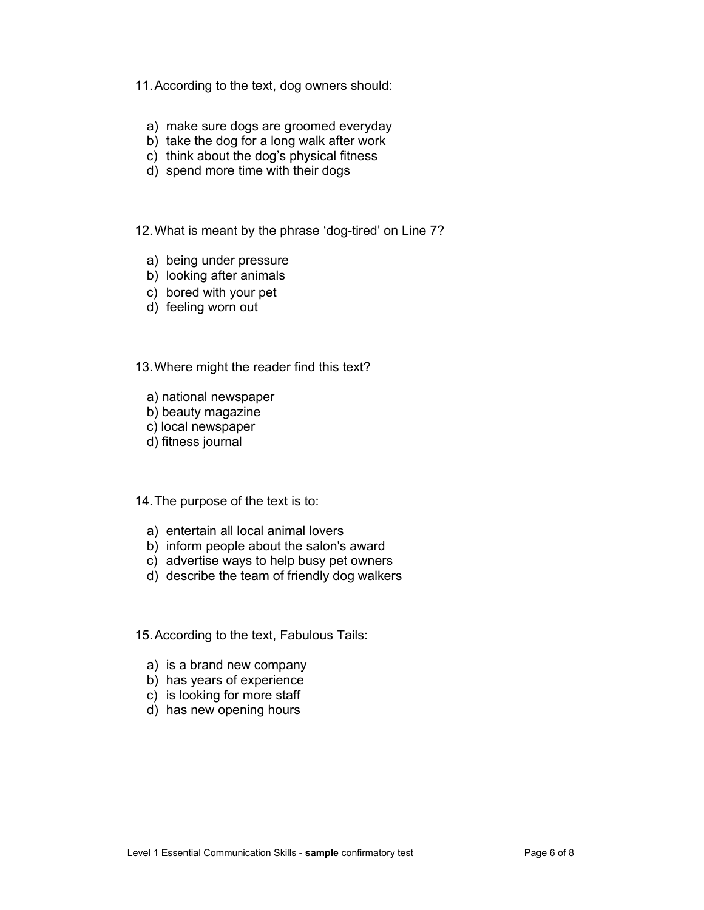11. According to the text, dog owners should:

- a) make sure dogs are groomed everyday
- b) take the dog for a long walk after work
- c) think about the dog's physical fitness
- d) spend more time with their dogs

12. What is meant by the phrase 'dog-tired' on Line 7?

- a) being under pressure
- b) looking after animals
- c) bored with your pet
- d) feeling worn out

13. Where might the reader find this text?

- a) national newspaper
- b) beauty magazine
- c) local newspaper
- d) fitness journal

14. The purpose of the text is to:

- a) entertain all local animal lovers
- b) inform people about the salon's award
- c) advertise ways to help busy pet owners
- d) describe the team of friendly dog walkers

15. According to the text, Fabulous Tails:

- a) is a brand new company
- b) has years of experience
- c) is looking for more staff
- d) has new opening hours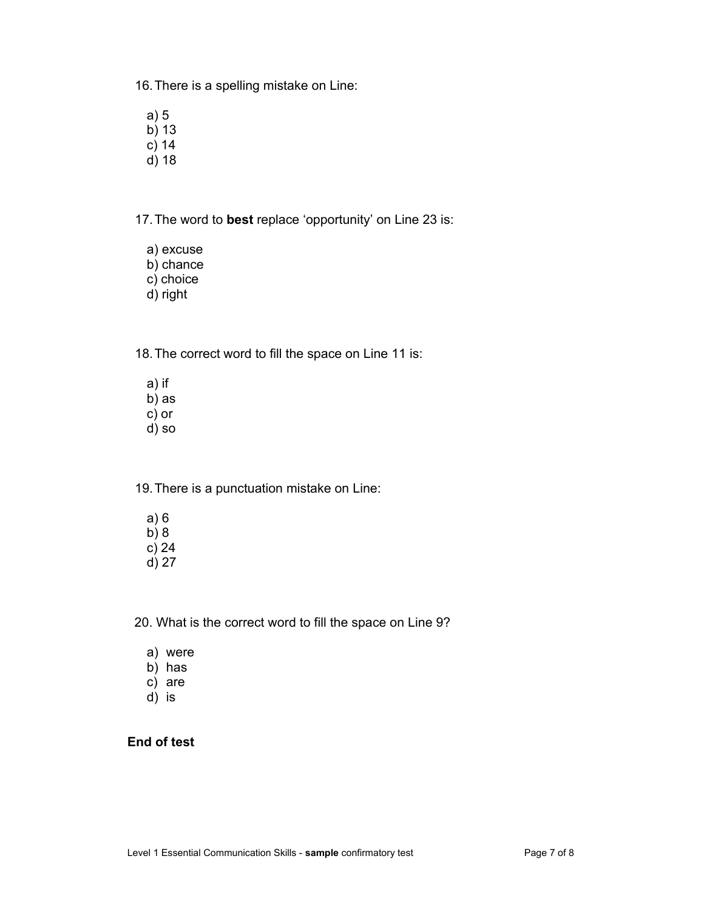16. There is a spelling mistake on Line:

- a) 5
- b) 13
- c) 14
- d) 18

17. The word to **best** replace 'opportunity' on Line 23 is:

- a) excuse
- b) chance
- c) choice
- d) right

18. The correct word to fill the space on Line 11 is:

- a) if
- b) as
- c) or
- d) so

19. There is a punctuation mistake on Line:

- a) 6 b) 8 c) 24
- d) 27

20. What is the correct word to fill the space on Line 9?

- a) were
- $\overline{b}$ ) has
- c) are
- d) is

### **End of test**